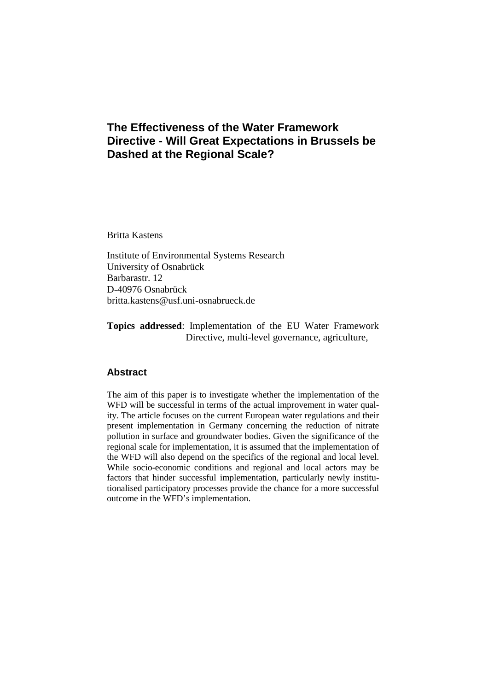# **The Effectiveness of the Water Framework Directive - Will Great Expectations in Brussels be Dashed at the Regional Scale?**

Britta Kastens

Institute of Environmental Systems Research University of Osnabrück Barbarastr. 12 D-40976 Osnabrück britta.kastens@usf.uni-osnabrueck.de

**Topics addressed**: Implementation of the EU Water Framework Directive, multi-level governance, agriculture,

# **Abstract**

The aim of this paper is to investigate whether the implementation of the WFD will be successful in terms of the actual improvement in water quality. The article focuses on the current European water regulations and their present implementation in Germany concerning the reduction of nitrate pollution in surface and groundwater bodies. Given the significance of the regional scale for implementation, it is assumed that the implementation of the WFD will also depend on the specifics of the regional and local level. While socio-economic conditions and regional and local actors may be factors that hinder successful implementation, particularly newly institutionalised participatory processes provide the chance for a more successful outcome in the WFD's implementation.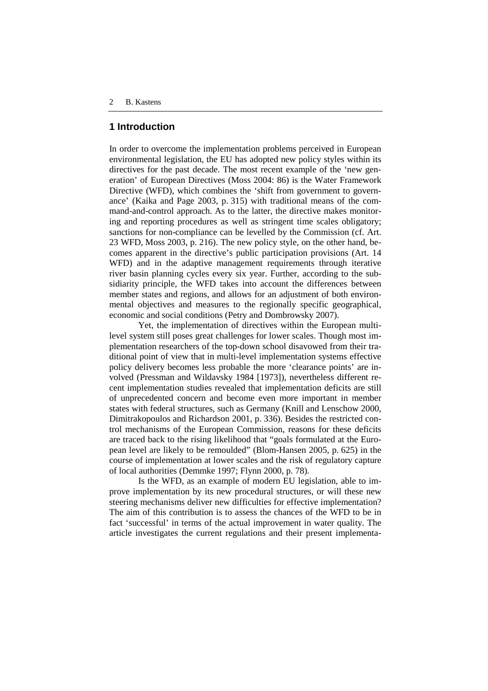#### **1 Introduction**

In order to overcome the implementation problems perceived in European environmental legislation, the EU has adopted new policy styles within its directives for the past decade. The most recent example of the 'new generation' of European Directives (Moss 2004: 86) is the Water Framework Directive (WFD), which combines the 'shift from government to governance' (Kaika and Page 2003, p. 315) with traditional means of the command-and-control approach. As to the latter, the directive makes monitoring and reporting procedures as well as stringent time scales obligatory; sanctions for non-compliance can be levelled by the Commission (cf. Art. 23 WFD, Moss 2003, p. 216). The new policy style, on the other hand, becomes apparent in the directive's public participation provisions (Art. 14 WFD) and in the adaptive management requirements through iterative river basin planning cycles every six year. Further, according to the subsidiarity principle, the WFD takes into account the differences between member states and regions, and allows for an adjustment of both environmental objectives and measures to the regionally specific geographical, economic and social conditions (Petry and Dombrowsky 2007).

Yet, the implementation of directives within the European multilevel system still poses great challenges for lower scales. Though most implementation researchers of the top-down school disavowed from their traditional point of view that in multi-level implementation systems effective policy delivery becomes less probable the more 'clearance points' are involved (Pressman and Wildavsky 1984 [1973]), nevertheless different recent implementation studies revealed that implementation deficits are still of unprecedented concern and become even more important in member states with federal structures, such as Germany (Knill and Lenschow 2000, Dimitrakopoulos and Richardson 2001, p. 336). Besides the restricted control mechanisms of the European Commission, reasons for these deficits are traced back to the rising likelihood that "goals formulated at the European level are likely to be remoulded" (Blom-Hansen 2005, p. 625) in the course of implementation at lower scales and the risk of regulatory capture of local authorities (Demmke 1997; Flynn 2000, p. 78).

Is the WFD, as an example of modern EU legislation, able to improve implementation by its new procedural structures, or will these new steering mechanisms deliver new difficulties for effective implementation? The aim of this contribution is to assess the chances of the WFD to be in fact 'successful' in terms of the actual improvement in water quality. The article investigates the current regulations and their present implementa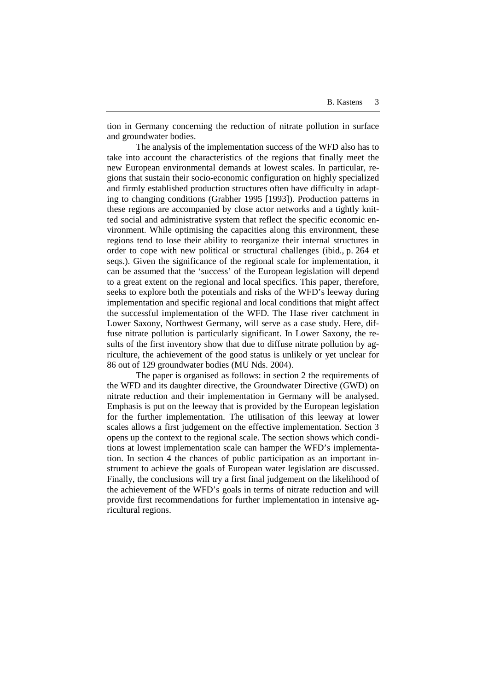tion in Germany concerning the reduction of nitrate pollution in surface and groundwater bodies.

The analysis of the implementation success of the WFD also has to take into account the characteristics of the regions that finally meet the new European environmental demands at lowest scales. In particular, regions that sustain their socio-economic configuration on highly specialized and firmly established production structures often have difficulty in adapting to changing conditions (Grabher 1995 [1993]). Production patterns in these regions are accompanied by close actor networks and a tightly knitted social and administrative system that reflect the specific economic environment. While optimising the capacities along this environment, these regions tend to lose their ability to reorganize their internal structures in order to cope with new political or structural challenges (ibid., p. 264 et seqs.). Given the significance of the regional scale for implementation, it can be assumed that the 'success' of the European legislation will depend to a great extent on the regional and local specifics. This paper, therefore, seeks to explore both the potentials and risks of the WFD's leeway during implementation and specific regional and local conditions that might affect the successful implementation of the WFD. The Hase river catchment in Lower Saxony, Northwest Germany, will serve as a case study. Here, diffuse nitrate pollution is particularly significant. In Lower Saxony, the results of the first inventory show that due to diffuse nitrate pollution by agriculture, the achievement of the good status is unlikely or yet unclear for 86 out of 129 groundwater bodies (MU Nds. 2004).

The paper is organised as follows: in section 2 the requirements of the WFD and its daughter directive, the Groundwater Directive (GWD) on nitrate reduction and their implementation in Germany will be analysed. Emphasis is put on the leeway that is provided by the European legislation for the further implementation. The utilisation of this leeway at lower scales allows a first judgement on the effective implementation. Section 3 opens up the context to the regional scale. The section shows which conditions at lowest implementation scale can hamper the WFD's implementation. In section 4 the chances of public participation as an important instrument to achieve the goals of European water legislation are discussed. Finally, the conclusions will try a first final judgement on the likelihood of the achievement of the WFD's goals in terms of nitrate reduction and will provide first recommendations for further implementation in intensive agricultural regions.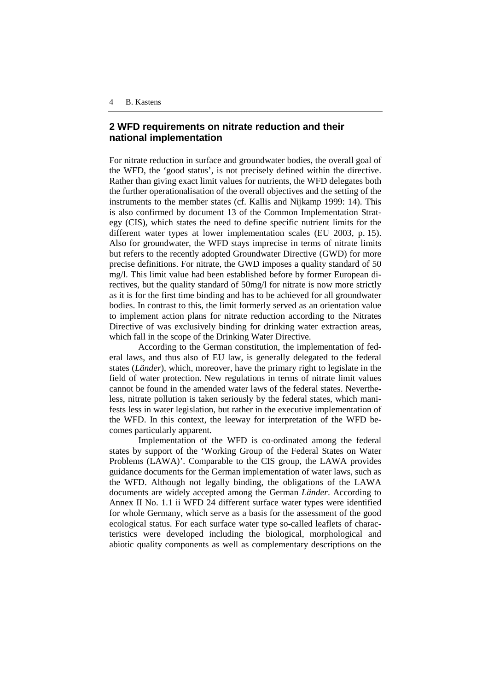## **2 WFD requirements on nitrate reduction and their national implementation**

For nitrate reduction in surface and groundwater bodies, the overall goal of the WFD, the 'good status', is not precisely defined within the directive. Rather than giving exact limit values for nutrients, the WFD delegates both the further operationalisation of the overall objectives and the setting of the instruments to the member states (cf. Kallis and Nijkamp 1999: 14). This is also confirmed by document 13 of the Common Implementation Strategy (CIS), which states the need to define specific nutrient limits for the different water types at lower implementation scales (EU 2003, p. 15). Also for groundwater, the WFD stays imprecise in terms of nitrate limits but refers to the recently adopted Groundwater Directive (GWD) for more precise definitions. For nitrate, the GWD imposes a quality standard of 50 mg/l. This limit value had been established before by former European directives, but the quality standard of 50mg/l for nitrate is now more strictly as it is for the first time binding and has to be achieved for all groundwater bodies. In contrast to this, the limit formerly served as an orientation value to implement action plans for nitrate reduction according to the Nitrates Directive of was exclusively binding for drinking water extraction areas, which fall in the scope of the Drinking Water Directive.

According to the German constitution, the implementation of federal laws, and thus also of EU law, is generally delegated to the federal states (*Länder*), which, moreover, have the primary right to legislate in the field of water protection. New regulations in terms of nitrate limit values cannot be found in the amended water laws of the federal states. Nevertheless, nitrate pollution is taken seriously by the federal states, which manifests less in water legislation, but rather in the executive implementation of the WFD. In this context, the leeway for interpretation of the WFD becomes particularly apparent.

Implementation of the WFD is co-ordinated among the federal states by support of the 'Working Group of the Federal States on Water Problems (LAWA)'. Comparable to the CIS group, the LAWA provides guidance documents for the German implementation of water laws, such as the WFD. Although not legally binding, the obligations of the LAWA documents are widely accepted among the German *Länder*. According to Annex II No. 1.1 ii WFD 24 different surface water types were identified for whole Germany, which serve as a basis for the assessment of the good ecological status. For each surface water type so-called leaflets of characteristics were developed including the biological, morphological and abiotic quality components as well as complementary descriptions on the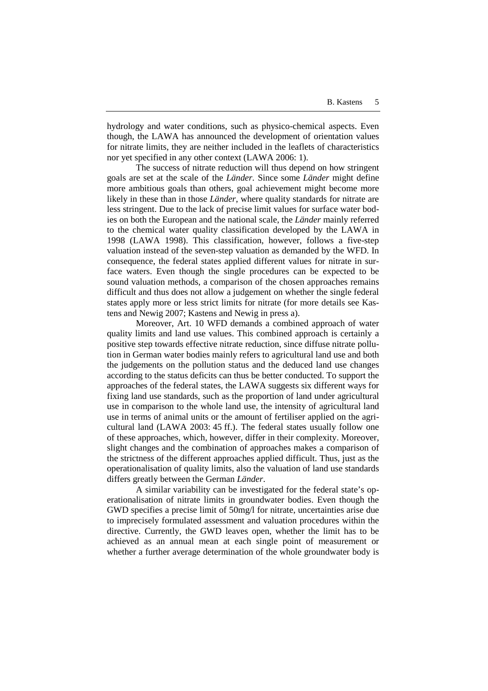hydrology and water conditions, such as physico-chemical aspects. Even though, the LAWA has announced the development of orientation values for nitrate limits, they are neither included in the leaflets of characteristics nor yet specified in any other context (LAWA 2006: 1).

The success of nitrate reduction will thus depend on how stringent goals are set at the scale of the *Länder.* Since some *Länder* might define more ambitious goals than others, goal achievement might become more likely in these than in those *Länder*, where quality standards for nitrate are less stringent. Due to the lack of precise limit values for surface water bodies on both the European and the national scale, the *Länder* mainly referred to the chemical water quality classification developed by the LAWA in 1998 (LAWA 1998). This classification, however, follows a five-step valuation instead of the seven-step valuation as demanded by the WFD. In consequence, the federal states applied different values for nitrate in surface waters. Even though the single procedures can be expected to be sound valuation methods, a comparison of the chosen approaches remains difficult and thus does not allow a judgement on whether the single federal states apply more or less strict limits for nitrate (for more details see Kastens and Newig 2007; Kastens and Newig in press a).

Moreover, Art. 10 WFD demands a combined approach of water quality limits and land use values. This combined approach is certainly a positive step towards effective nitrate reduction, since diffuse nitrate pollution in German water bodies mainly refers to agricultural land use and both the judgements on the pollution status and the deduced land use changes according to the status deficits can thus be better conducted. To support the approaches of the federal states, the LAWA suggests six different ways for fixing land use standards, such as the proportion of land under agricultural use in comparison to the whole land use, the intensity of agricultural land use in terms of animal units or the amount of fertiliser applied on the agricultural land (LAWA 2003: 45 ff.). The federal states usually follow one of these approaches, which, however, differ in their complexity. Moreover, slight changes and the combination of approaches makes a comparison of the strictness of the different approaches applied difficult. Thus, just as the operationalisation of quality limits, also the valuation of land use standards differs greatly between the German *Länder*.

A similar variability can be investigated for the federal state's operationalisation of nitrate limits in groundwater bodies. Even though the GWD specifies a precise limit of 50mg/l for nitrate, uncertainties arise due to imprecisely formulated assessment and valuation procedures within the directive. Currently, the GWD leaves open, whether the limit has to be achieved as an annual mean at each single point of measurement or whether a further average determination of the whole groundwater body is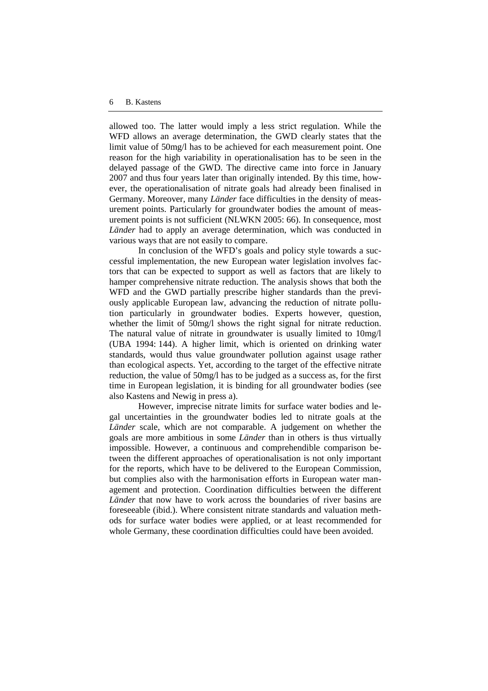allowed too. The latter would imply a less strict regulation. While the WFD allows an average determination, the GWD clearly states that the limit value of 50mg/l has to be achieved for each measurement point. One reason for the high variability in operationalisation has to be seen in the delayed passage of the GWD. The directive came into force in January 2007 and thus four years later than originally intended. By this time, however, the operationalisation of nitrate goals had already been finalised in Germany. Moreover, many *Länder* face difficulties in the density of measurement points. Particularly for groundwater bodies the amount of measurement points is not sufficient (NLWKN 2005: 66). In consequence, most *Länder* had to apply an average determination, which was conducted in various ways that are not easily to compare.

In conclusion of the WFD's goals and policy style towards a successful implementation, the new European water legislation involves factors that can be expected to support as well as factors that are likely to hamper comprehensive nitrate reduction. The analysis shows that both the WFD and the GWD partially prescribe higher standards than the previously applicable European law, advancing the reduction of nitrate pollution particularly in groundwater bodies. Experts however, question, whether the limit of 50mg/l shows the right signal for nitrate reduction. The natural value of nitrate in groundwater is usually limited to 10mg/l (UBA 1994: 144). A higher limit, which is oriented on drinking water standards, would thus value groundwater pollution against usage rather than ecological aspects. Yet, according to the target of the effective nitrate reduction, the value of 50mg/l has to be judged as a success as, for the first time in European legislation, it is binding for all groundwater bodies (see also Kastens and Newig in press a).

However, imprecise nitrate limits for surface water bodies and legal uncertainties in the groundwater bodies led to nitrate goals at the *Länder* scale, which are not comparable. A judgement on whether the goals are more ambitious in some *Länder* than in others is thus virtually impossible. However, a continuous and comprehendible comparison between the different approaches of operationalisation is not only important for the reports, which have to be delivered to the European Commission, but complies also with the harmonisation efforts in European water management and protection. Coordination difficulties between the different *Länder* that now have to work across the boundaries of river basins are foreseeable (ibid.). Where consistent nitrate standards and valuation methods for surface water bodies were applied, or at least recommended for whole Germany, these coordination difficulties could have been avoided.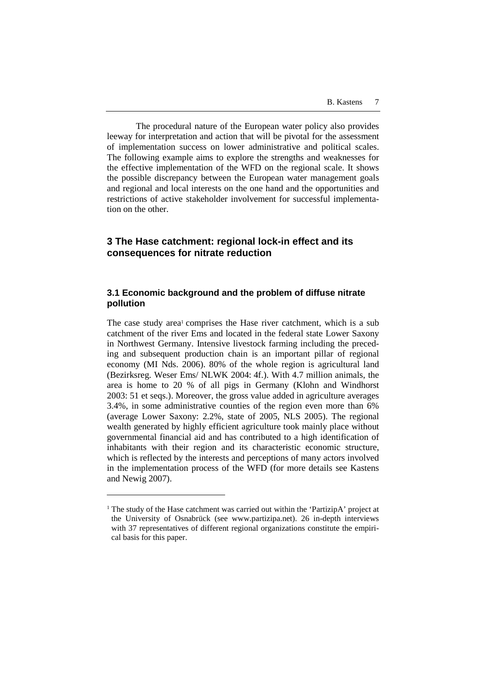The procedural nature of the European water policy also provides leeway for interpretation and action that will be pivotal for the assessment of implementation success on lower administrative and political scales. The following example aims to explore the strengths and weaknesses for the effective implementation of the WFD on the regional scale. It shows the possible discrepancy between the European water management goals and regional and local interests on the one hand and the opportunities and restrictions of active stakeholder involvement for successful implementation on the other.

# **3 The Hase catchment: regional lock-in effect and its consequences for nitrate reduction**

## **3.1 Economic background and the problem of diffuse nitrate pollution**

The case study area<sup>1</sup> comprises the Hase river catchment, which is a sub catchment of the river Ems and located in the federal state Lower Saxony in Northwest Germany. Intensive livestock farming including the preceding and subsequent production chain is an important pillar of regional economy (MI Nds. 2006). 80% of the whole region is agricultural land (Bezirksreg. Weser Ems/ NLWK 2004: 4f.). With 4.7 million animals, the area is home to 20 % of all pigs in Germany (Klohn and Windhorst 2003: 51 et seqs.). Moreover, the gross value added in agriculture averages 3.4%, in some administrative counties of the region even more than 6% (average Lower Saxony: 2.2%, state of 2005, NLS 2005). The regional wealth generated by highly efficient agriculture took mainly place without governmental financial aid and has contributed to a high identification of inhabitants with their region and its characteristic economic structure, which is reflected by the interests and perceptions of many actors involved in the implementation process of the WFD (for more details see Kastens and Newig 2007).

 $\overline{a}$ 

<sup>&</sup>lt;sup>1</sup> The study of the Hase catchment was carried out within the 'PartizipA' project at the University of Osnabrück (see www.partizipa.net). 26 in-depth interviews with 37 representatives of different regional organizations constitute the empirical basis for this paper.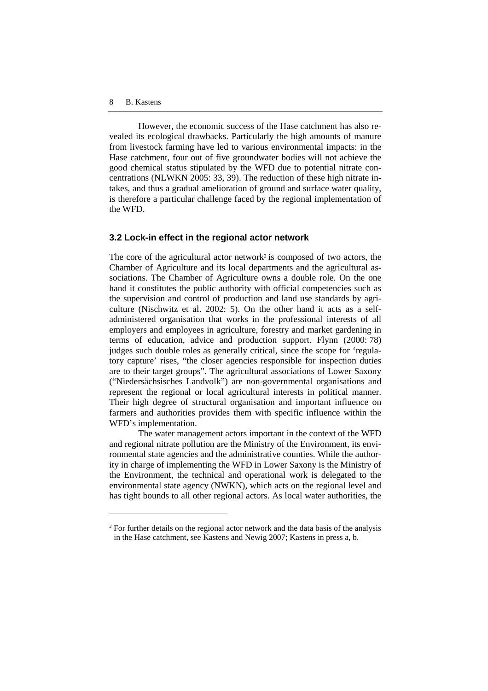$\overline{a}$ 

However, the economic success of the Hase catchment has also revealed its ecological drawbacks. Particularly the high amounts of manure from livestock farming have led to various environmental impacts: in the Hase catchment, four out of five groundwater bodies will not achieve the good chemical status stipulated by the WFD due to potential nitrate concentrations (NLWKN 2005: 33, 39). The reduction of these high nitrate intakes, and thus a gradual amelioration of ground and surface water quality, is therefore a particular challenge faced by the regional implementation of the WFD.

#### **3.2 Lock-in effect in the regional actor network**

The core of the agricultural actor network<sup>2</sup> is composed of two actors, the Chamber of Agriculture and its local departments and the agricultural associations. The Chamber of Agriculture owns a double role. On the one hand it constitutes the public authority with official competencies such as the supervision and control of production and land use standards by agriculture (Nischwitz et al. 2002: 5). On the other hand it acts as a selfadministered organisation that works in the professional interests of all employers and employees in agriculture, forestry and market gardening in terms of education, advice and production support. Flynn (2000: 78) judges such double roles as generally critical, since the scope for 'regulatory capture' rises, "the closer agencies responsible for inspection duties are to their target groups". The agricultural associations of Lower Saxony ("Niedersächsisches Landvolk") are non-governmental organisations and represent the regional or local agricultural interests in political manner. Their high degree of structural organisation and important influence on farmers and authorities provides them with specific influence within the WFD's implementation.

The water management actors important in the context of the WFD and regional nitrate pollution are the Ministry of the Environment, its environmental state agencies and the administrative counties. While the authority in charge of implementing the WFD in Lower Saxony is the Ministry of the Environment, the technical and operational work is delegated to the environmental state agency (NWKN), which acts on the regional level and has tight bounds to all other regional actors. As local water authorities, the

<sup>&</sup>lt;sup>2</sup> For further details on the regional actor network and the data basis of the analysis in the Hase catchment, see Kastens and Newig 2007; Kastens in press a, b.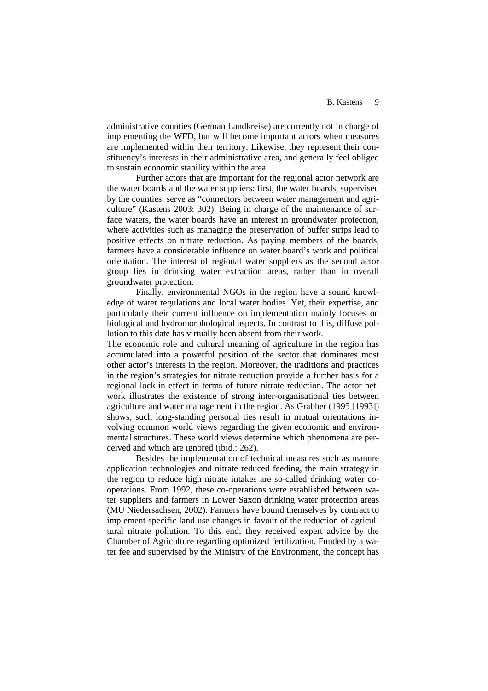administrative counties (German Landkreise) are currently not in charge of implementing the WFD, but will become important actors when measures are implemented within their territory. Likewise, they represent their constituency's interests in their administrative area, and generally feel obliged to sustain economic stability within the area.

Further actors that are important for the regional actor network are the water boards and the water suppliers: first, the water boards, supervised by the counties, serve as "connectors between water management and agriculture" (Kastens 2003: 302). Being in charge of the maintenance of surface waters, the water boards have an interest in groundwater protection, where activities such as managing the preservation of buffer strips lead to positive effects on nitrate reduction. As paying members of the boards, farmers have a considerable influence on water board's work and political orientation. The interest of regional water suppliers as the second actor group lies in drinking water extraction areas, rather than in overall groundwater protection.

Finally, environmental NGOs in the region have a sound knowledge of water regulations and local water bodies. Yet, their expertise, and particularly their current influence on implementation mainly focuses on biological and hydromorphological aspects. In contrast to this, diffuse pollution to this date has virtually been absent from their work.

The economic role and cultural meaning of agriculture in the region has accumulated into a powerful position of the sector that dominates most other actor's interests in the region. Moreover, the traditions and practices in the region's strategies for nitrate reduction provide a further basis for a regional lock-in effect in terms of future nitrate reduction. The actor network illustrates the existence of strong inter-organisational ties between agriculture and water management in the region. As Grabher (1995 [1993]) shows, such long-standing personal ties result in mutual orientations involving common world views regarding the given economic and environmental structures. These world views determine which phenomena are perceived and which are ignored (ibid.: 262).

Besides the implementation of technical measures such as manure application technologies and nitrate reduced feeding, the main strategy in the region to reduce high nitrate intakes are so-called drinking water cooperations. From 1992, these co-operations were established between water suppliers and farmers in Lower Saxon drinking water protection areas (MU Niedersachsen, 2002). Farmers have bound themselves by contract to implement specific land use changes in favour of the reduction of agricultural nitrate pollution. To this end, they received expert advice by the Chamber of Agriculture regarding optimized fertilization. Funded by a water fee and supervised by the Ministry of the Environment, the concept has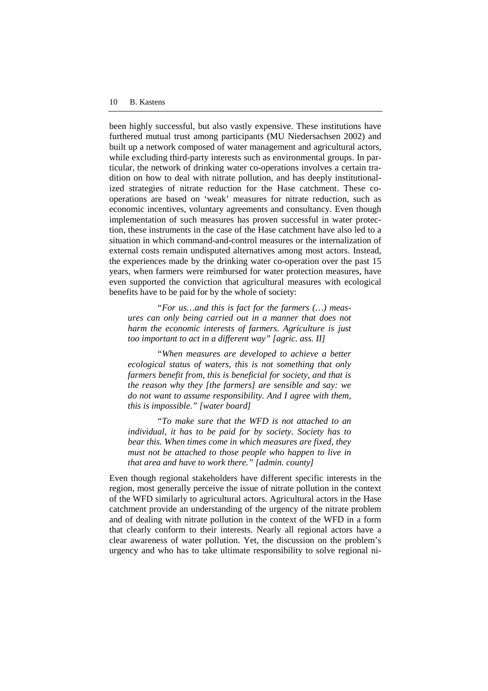been highly successful, but also vastly expensive. These institutions have furthered mutual trust among participants (MU Niedersachsen 2002) and built up a network composed of water management and agricultural actors, while excluding third-party interests such as environmental groups. In particular, the network of drinking water co-operations involves a certain tradition on how to deal with nitrate pollution, and has deeply institutionalized strategies of nitrate reduction for the Hase catchment. These cooperations are based on 'weak' measures for nitrate reduction, such as economic incentives, voluntary agreements and consultancy. Even though implementation of such measures has proven successful in water protection, these instruments in the case of the Hase catchment have also led to a situation in which command-and-control measures or the internalization of external costs remain undisputed alternatives among most actors. Instead, the experiences made by the drinking water co-operation over the past 15 years, when farmers were reimbursed for water protection measures, have even supported the conviction that agricultural measures with ecological benefits have to be paid for by the whole of society:

*"For us…and this is fact for the farmers (…) measures can only being carried out in a manner that does not harm the economic interests of farmers. Agriculture is just too important to act in a different way" [agric. ass. II]* 

*"When measures are developed to achieve a better ecological status of waters, this is not something that only farmers benefit from, this is beneficial for society, and that is the reason why they [the farmers] are sensible and say: we do not want to assume responsibility. And I agree with them, this is impossible." [water board]* 

*"To make sure that the WFD is not attached to an individual, it has to be paid for by society. Society has to bear this. When times come in which measures are fixed, they must not be attached to those people who happen to live in that area and have to work there." [admin. county]* 

Even though regional stakeholders have different specific interests in the region, most generally perceive the issue of nitrate pollution in the context of the WFD similarly to agricultural actors. Agricultural actors in the Hase catchment provide an understanding of the urgency of the nitrate problem and of dealing with nitrate pollution in the context of the WFD in a form that clearly conform to their interests. Nearly all regional actors have a clear awareness of water pollution. Yet, the discussion on the problem's urgency and who has to take ultimate responsibility to solve regional ni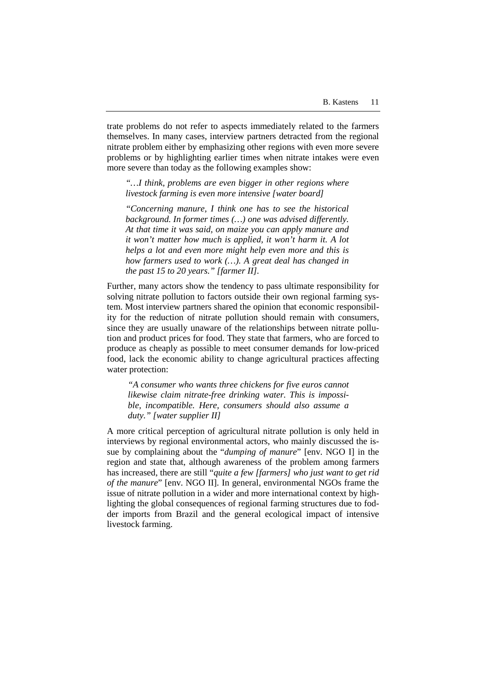trate problems do not refer to aspects immediately related to the farmers themselves. In many cases, interview partners detracted from the regional nitrate problem either by emphasizing other regions with even more severe problems or by highlighting earlier times when nitrate intakes were even more severe than today as the following examples show:

*"…I think, problems are even bigger in other regions where livestock farming is even more intensive [water board]* 

*"Concerning manure, I think one has to see the historical background. In former times (…) one was advised differently. At that time it was said, on maize you can apply manure and it won't matter how much is applied, it won't harm it. A lot helps a lot and even more might help even more and this is how farmers used to work (…). A great deal has changed in the past 15 to 20 years." [farmer II].* 

Further, many actors show the tendency to pass ultimate responsibility for solving nitrate pollution to factors outside their own regional farming system. Most interview partners shared the opinion that economic responsibility for the reduction of nitrate pollution should remain with consumers, since they are usually unaware of the relationships between nitrate pollution and product prices for food. They state that farmers, who are forced to produce as cheaply as possible to meet consumer demands for low-priced food, lack the economic ability to change agricultural practices affecting water protection:

*"A consumer who wants three chickens for five euros cannot likewise claim nitrate-free drinking water. This is impossible, incompatible. Here, consumers should also assume a duty." [water supplier II]* 

A more critical perception of agricultural nitrate pollution is only held in interviews by regional environmental actors, who mainly discussed the issue by complaining about the "*dumping of manure*" [env. NGO I] in the region and state that, although awareness of the problem among farmers has increased, there are still "*quite a few [farmers] who just want to get rid of the manure*" [env. NGO II]. In general, environmental NGOs frame the issue of nitrate pollution in a wider and more international context by highlighting the global consequences of regional farming structures due to fodder imports from Brazil and the general ecological impact of intensive livestock farming.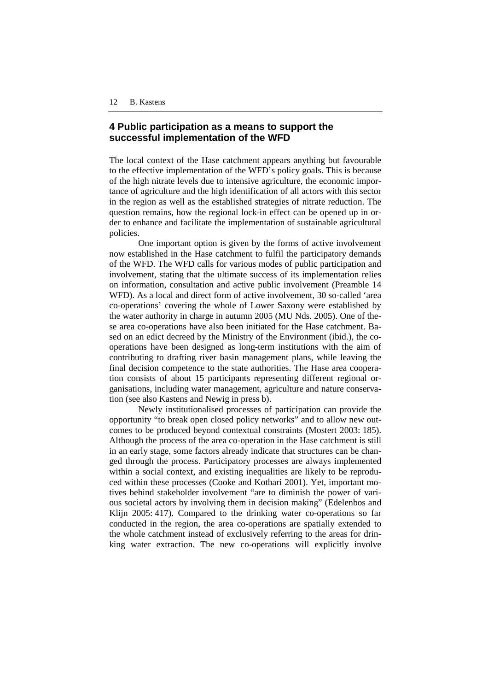# **4 Public participation as a means to support the successful implementation of the WFD**

The local context of the Hase catchment appears anything but favourable to the effective implementation of the WFD's policy goals. This is because of the high nitrate levels due to intensive agriculture, the economic importance of agriculture and the high identification of all actors with this sector in the region as well as the established strategies of nitrate reduction. The question remains, how the regional lock-in effect can be opened up in order to enhance and facilitate the implementation of sustainable agricultural policies.

One important option is given by the forms of active involvement now established in the Hase catchment to fulfil the participatory demands of the WFD. The WFD calls for various modes of public participation and involvement, stating that the ultimate success of its implementation relies on information, consultation and active public involvement (Preamble 14 WFD). As a local and direct form of active involvement, 30 so-called 'area co-operations' covering the whole of Lower Saxony were established by the water authority in charge in autumn 2005 (MU Nds. 2005). One of these area co-operations have also been initiated for the Hase catchment. Based on an edict decreed by the Ministry of the Environment (ibid.), the cooperations have been designed as long-term institutions with the aim of contributing to drafting river basin management plans, while leaving the final decision competence to the state authorities. The Hase area cooperation consists of about 15 participants representing different regional organisations, including water management, agriculture and nature conservation (see also Kastens and Newig in press b).

Newly institutionalised processes of participation can provide the opportunity "to break open closed policy networks" and to allow new outcomes to be produced beyond contextual constraints (Mostert 2003: 185). Although the process of the area co-operation in the Hase catchment is still in an early stage, some factors already indicate that structures can be changed through the process. Participatory processes are always implemented within a social context, and existing inequalities are likely to be reproduced within these processes (Cooke and Kothari 2001). Yet, important motives behind stakeholder involvement "are to diminish the power of various societal actors by involving them in decision making" (Edelenbos and Klijn 2005: 417). Compared to the drinking water co-operations so far conducted in the region, the area co-operations are spatially extended to the whole catchment instead of exclusively referring to the areas for drinking water extraction. The new co-operations will explicitly involve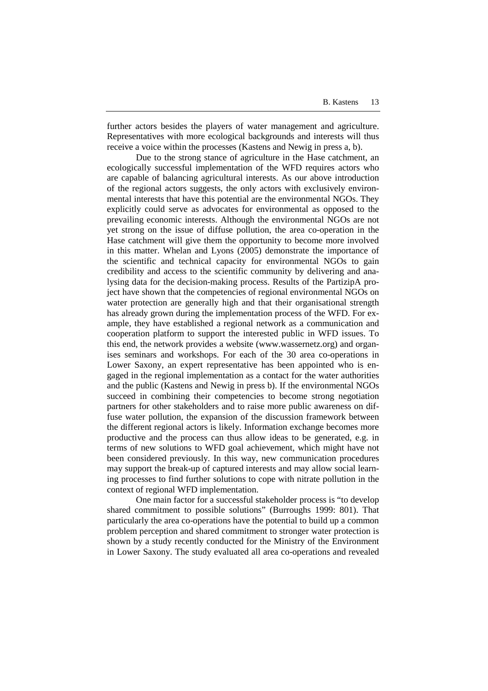further actors besides the players of water management and agriculture. Representatives with more ecological backgrounds and interests will thus receive a voice within the processes (Kastens and Newig in press a, b).

Due to the strong stance of agriculture in the Hase catchment, an ecologically successful implementation of the WFD requires actors who are capable of balancing agricultural interests. As our above introduction of the regional actors suggests, the only actors with exclusively environmental interests that have this potential are the environmental NGOs. They explicitly could serve as advocates for environmental as opposed to the prevailing economic interests. Although the environmental NGOs are not yet strong on the issue of diffuse pollution, the area co-operation in the Hase catchment will give them the opportunity to become more involved in this matter. Whelan and Lyons (2005) demonstrate the importance of the scientific and technical capacity for environmental NGOs to gain credibility and access to the scientific community by delivering and analysing data for the decision-making process. Results of the PartizipA project have shown that the competencies of regional environmental NGOs on water protection are generally high and that their organisational strength has already grown during the implementation process of the WFD. For example, they have established a regional network as a communication and cooperation platform to support the interested public in WFD issues. To this end, the network provides a website (www.wassernetz.org) and organises seminars and workshops. For each of the 30 area co-operations in Lower Saxony, an expert representative has been appointed who is engaged in the regional implementation as a contact for the water authorities and the public (Kastens and Newig in press b). If the environmental NGOs succeed in combining their competencies to become strong negotiation partners for other stakeholders and to raise more public awareness on diffuse water pollution, the expansion of the discussion framework between the different regional actors is likely. Information exchange becomes more productive and the process can thus allow ideas to be generated, e.g. in terms of new solutions to WFD goal achievement, which might have not been considered previously. In this way, new communication procedures may support the break-up of captured interests and may allow social learning processes to find further solutions to cope with nitrate pollution in the context of regional WFD implementation.

One main factor for a successful stakeholder process is "to develop shared commitment to possible solutions" (Burroughs 1999: 801). That particularly the area co-operations have the potential to build up a common problem perception and shared commitment to stronger water protection is shown by a study recently conducted for the Ministry of the Environment in Lower Saxony. The study evaluated all area co-operations and revealed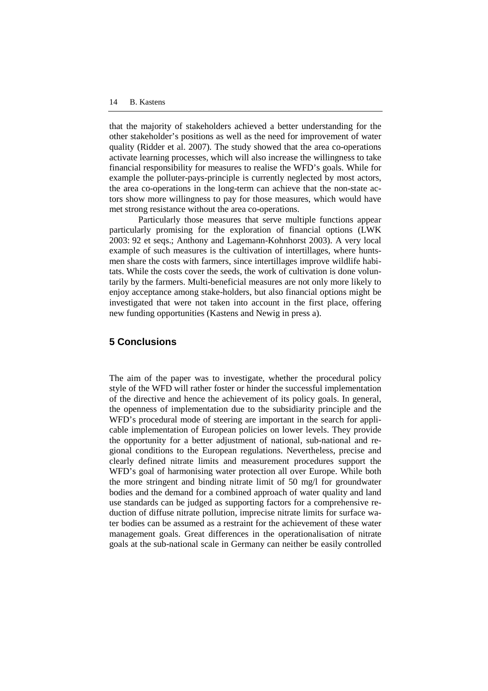that the majority of stakeholders achieved a better understanding for the other stakeholder's positions as well as the need for improvement of water quality (Ridder et al. 2007). The study showed that the area co-operations activate learning processes, which will also increase the willingness to take financial responsibility for measures to realise the WFD's goals. While for example the polluter-pays-principle is currently neglected by most actors, the area co-operations in the long-term can achieve that the non-state actors show more willingness to pay for those measures, which would have met strong resistance without the area co-operations.

Particularly those measures that serve multiple functions appear particularly promising for the exploration of financial options (LWK 2003: 92 et seqs.; Anthony and Lagemann-Kohnhorst 2003). A very local example of such measures is the cultivation of intertillages, where huntsmen share the costs with farmers, since intertillages improve wildlife habitats. While the costs cover the seeds, the work of cultivation is done voluntarily by the farmers. Multi-beneficial measures are not only more likely to enjoy acceptance among stake-holders, but also financial options might be investigated that were not taken into account in the first place, offering new funding opportunities (Kastens and Newig in press a).

#### **5 Conclusions**

The aim of the paper was to investigate, whether the procedural policy style of the WFD will rather foster or hinder the successful implementation of the directive and hence the achievement of its policy goals. In general, the openness of implementation due to the subsidiarity principle and the WFD's procedural mode of steering are important in the search for applicable implementation of European policies on lower levels. They provide the opportunity for a better adjustment of national, sub-national and regional conditions to the European regulations. Nevertheless, precise and clearly defined nitrate limits and measurement procedures support the WFD's goal of harmonising water protection all over Europe. While both the more stringent and binding nitrate limit of 50 mg/l for groundwater bodies and the demand for a combined approach of water quality and land use standards can be judged as supporting factors for a comprehensive reduction of diffuse nitrate pollution, imprecise nitrate limits for surface water bodies can be assumed as a restraint for the achievement of these water management goals. Great differences in the operationalisation of nitrate goals at the sub-national scale in Germany can neither be easily controlled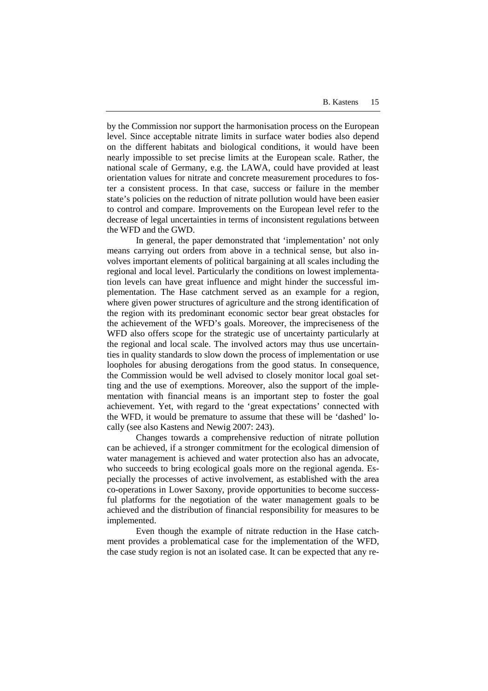by the Commission nor support the harmonisation process on the European level. Since acceptable nitrate limits in surface water bodies also depend on the different habitats and biological conditions, it would have been nearly impossible to set precise limits at the European scale. Rather, the national scale of Germany, e.g. the LAWA, could have provided at least orientation values for nitrate and concrete measurement procedures to foster a consistent process. In that case, success or failure in the member state's policies on the reduction of nitrate pollution would have been easier to control and compare. Improvements on the European level refer to the decrease of legal uncertainties in terms of inconsistent regulations between the WFD and the GWD.

In general, the paper demonstrated that 'implementation' not only means carrying out orders from above in a technical sense, but also involves important elements of political bargaining at all scales including the regional and local level. Particularly the conditions on lowest implementation levels can have great influence and might hinder the successful implementation. The Hase catchment served as an example for a region, where given power structures of agriculture and the strong identification of the region with its predominant economic sector bear great obstacles for the achievement of the WFD's goals. Moreover, the impreciseness of the WFD also offers scope for the strategic use of uncertainty particularly at the regional and local scale. The involved actors may thus use uncertainties in quality standards to slow down the process of implementation or use loopholes for abusing derogations from the good status. In consequence, the Commission would be well advised to closely monitor local goal setting and the use of exemptions. Moreover, also the support of the implementation with financial means is an important step to foster the goal achievement. Yet, with regard to the 'great expectations' connected with the WFD, it would be premature to assume that these will be 'dashed' locally (see also Kastens and Newig 2007: 243).

Changes towards a comprehensive reduction of nitrate pollution can be achieved, if a stronger commitment for the ecological dimension of water management is achieved and water protection also has an advocate, who succeeds to bring ecological goals more on the regional agenda. Especially the processes of active involvement, as established with the area co-operations in Lower Saxony, provide opportunities to become successful platforms for the negotiation of the water management goals to be achieved and the distribution of financial responsibility for measures to be implemented.

Even though the example of nitrate reduction in the Hase catchment provides a problematical case for the implementation of the WFD, the case study region is not an isolated case. It can be expected that any re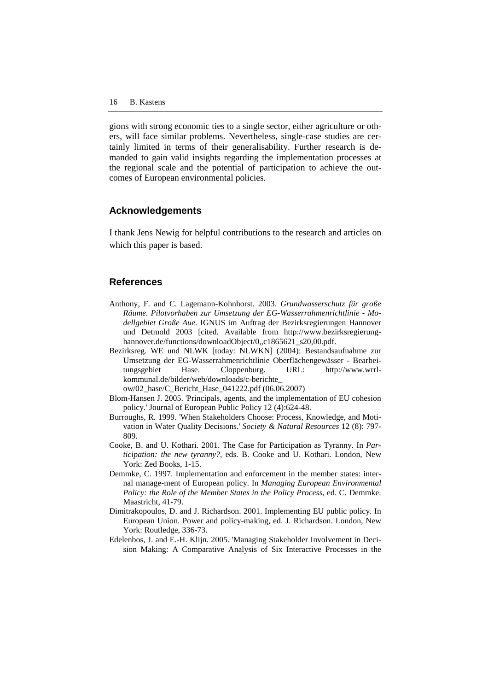gions with strong economic ties to a single sector, either agriculture or others, will face similar problems. Nevertheless, single-case studies are certainly limited in terms of their generalisability. Further research is demanded to gain valid insights regarding the implementation processes at the regional scale and the potential of participation to achieve the outcomes of European environmental policies.

#### **Acknowledgements**

I thank Jens Newig for helpful contributions to the research and articles on which this paper is based.

#### **References**

- Anthony, F. and C. Lagemann-Kohnhorst. 2003. *Grundwasserschutz für große Räume. Pilotvorhaben zur Umsetzung der EG-Wasserrahmenrichtlinie - Modellgebiet Große Aue*. IGNUS im Auftrag der Bezirksregierungen Hannover und Detmold 2003 [cited. Available from http://www.bezirksregierunghannover.de/functions/downloadObject/0,,c1865621\_s20,00.pdf.
- Bezirksreg. WE und NLWK [today: NLWKN] (2004): Bestandsaufnahme zur Umsetzung der EG-Wasserrahmenrichtlinie Oberflächengewässer - Bearbeitungsgebiet Hase. Cloppenburg. URL: http://www.wrrlkommunal.de/bilder/web/downloads/c-berichte\_

ow/02\_hase/C\_Bericht\_Hase\_041222.pdf (06.06.2007)

- Blom-Hansen J. 2005. 'Principals, agents, and the implementation of EU cohesion policy.' Journal of European Public Policy 12 (4):624-48.
- Burroughs, R. 1999. 'When Stakeholders Choose: Process, Knowledge, and Motivation in Water Quality Decisions.' *Society & Natural Resources* 12 (8): 797- 809.
- Cooke, B. and U. Kothari. 2001. The Case for Participation as Tyranny. In *Participation: the new tyranny?*, eds. B. Cooke and U. Kothari. London, New York: Zed Books, 1-15.
- Demmke, C. 1997. Implementation and enforcement in the member states: internal manage-ment of European policy. In *Managing European Environmental Policy: the Role of the Member States in the Policy Process*, ed. C. Demmke. Maastricht, 41-79.
- Dimitrakopoulos, D. and J. Richardson. 2001. Implementing EU public policy. In European Union. Power and policy-making, ed. J. Richardson. London, New York: Routledge, 336-73.
- Edelenbos, J. and E.-H. Klijn. 2005. 'Managing Stakeholder Involvement in Decision Making: A Comparative Analysis of Six Interactive Processes in the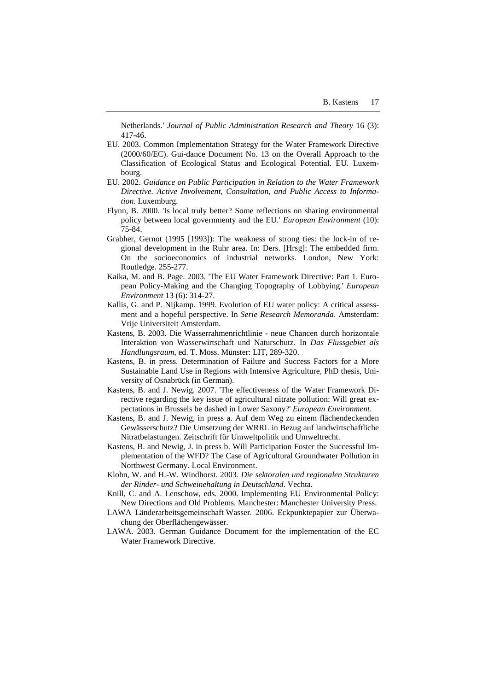Netherlands.' *Journal of Public Administration Research and Theory* 16 (3): 417-46.

- EU. 2003. Common Implementation Strategy for the Water Framework Directive (2000/60/EC). Gui-dance Document No. 13 on the Overall Approach to the Classification of Ecological Status and Ecological Potential. EU. Luxembourg.
- EU. 2002. *Guidance on Public Participation in Relation to the Water Framework Directive. Active Involvement, Consultation, and Public Access to Information*. Luxemburg.
- Flynn, B. 2000. 'Is local truly better? Some reflections on sharing environmental policy between local governmenty and the EU.' *European Environment* (10): 75-84.
- Grabher, Gernot (1995 [1993]): The weakness of strong ties: the lock-in of regional development in the Ruhr area. In: Ders. [Hrsg]: The embedded firm. On the socioeconomics of industrial networks. London, New York: Routledge. 255-277.
- Kaika, M. and B. Page. 2003. 'The EU Water Framework Directive: Part 1. European Policy-Making and the Changing Topography of Lobbying.' *European Environment* 13 (6): 314-27.
- Kallis, G. and P. Nijkamp. 1999. Evolution of EU water policy: A critical assessment and a hopeful perspective. In *Serie Research Memoranda*. Amsterdam: Vrije Universiteit Amsterdam.
- Kastens, B. 2003. Die Wasserrahmenrichtlinie neue Chancen durch horizontale Interaktion von Wasserwirtschaft und Naturschutz. In *Das Flussgebiet als Handlungsraum*, ed. T. Moss. Münster: LIT, 289-320.
- Kastens, B. in press. Determination of Failure and Success Factors for a More Sustainable Land Use in Regions with Intensive Agriculture, PhD thesis, University of Osnabrück (in German).
- Kastens, B. and J. Newig. 2007. 'The effectiveness of the Water Framework Directive regarding the key issue of agricultural nitrate pollution: Will great expectations in Brussels be dashed in Lower Saxony?' *European Environment*.
- Kastens, B. and J. Newig, in press a. Auf dem Weg zu einem flächendeckenden Gewässerschutz? Die Umsetzung der WRRL in Bezug auf landwirtschaftliche Nitratbelastungen. Zeitschrift für Umweltpolitik und Umweltrecht.
- Kastens, B. and Newig, J. in press b. Will Participation Foster the Successful Implementation of the WFD? The Case of Agricultural Groundwater Pollution in Northwest Germany. Local Environment.
- Klohn, W. and H.-W. Windhorst. 2003. *Die sektoralen und regionalen Strukturen der Rinder- und Schweinehaltung in Deutschland*. Vechta.
- Knill, C. and A. Lenschow, eds. 2000. Implementing EU Environmental Policy: New Directions and Old Problems. Manchester: Manchester University Press.
- LAWA Länderarbeitsgemeinschaft Wasser. 2006. Eckpunktepapier zur Überwachung der Oberflächengewässer.
- LAWA. 2003. German Guidance Document for the implementation of the EC Water Framework Directive.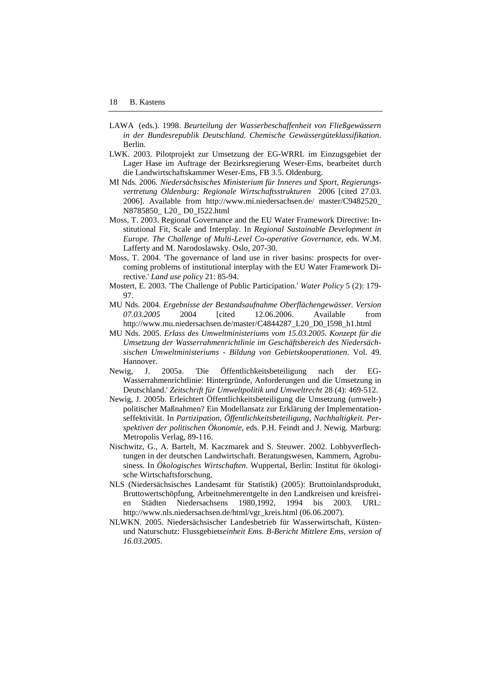- LAWA (eds.). 1998. *Beurteilung der Wasserbeschaffenheit von Fließgewässern in der Bundesrepublik Deutschland. Chemische Gewässergüteklassifikation*. Berlin.
- LWK. 2003. Pilotprojekt zur Umsetzung der EG-WRRL im Einzugsgebiet der Lager Hase im Auftrage der Bezirksregierung Weser-Ems, bearbeitet durch die Landwirtschaftskammer Weser-Ems, FB 3.5. Oldenburg.
- MI Nds. 2006. *Niedersächsisches Ministerium für Inneres und Sport, Regierungsvertretung Oldenburg: Regionale Wirtschaftsstrukturen* 2006 [cited 27.03. 2006]. Available from http://www.mi.niedersachsen.de/ master/C9482520\_ N8785850\_ L20\_ D0\_I522.html
- Moss, T. 2003. Regional Governance and the EU Water Framework Directive: Institutional Fit, Scale and Interplay. In *Regional Sustainable Development in Europe. The Challenge of Multi-Level Co-operative Governance*, eds. W.M. Lafferty and M. Narodoslawsky. Oslo, 207-30.
- Moss, T. 2004. 'The governance of land use in river basins: prospects for overcoming problems of institutional interplay with the EU Water Framework Directive.' *Land use policy* 21: 85-94.
- Mostert, E. 2003. 'The Challenge of Public Participation.' *Water Policy* 5 (2): 179- 97.
- MU Nds. 2004. *Ergebnisse der Bestandsaufnahme Oberflächengewässer. Version 07.03.2005* 2004 [cited 12.06.2006. Available from http://www.mu.niedersachsen.de/master/C4844287\_L20\_D0\_I598\_h1.html
- MU Nds. 2005. *Erlass des Umweltministeriums vom 15.03.2005. Konzept für die Umsetzung der Wasserrahmenrichtlinie im Geschäftsbereich des Niedersächsischen Umweltministeriums - Bildung von Gebietskooperationen*. Vol. 49. Hannover.
- Newig, J. 2005a. 'Die Öffentlichkeitsbeteiligung nach der EG-Wasserrahmenrichtlinie: Hintergründe, Anforderungen und die Umsetzung in Deutschland.' *Zeitschrift für Umweltpolitik und Umweltrecht* 28 (4): 469-512.
- Newig, J. 2005b. Erleichtert Öffentlichkeitsbeteiligung die Umsetzung (umwelt-) politischer Maßnahmen? Ein Modellansatz zur Erklärung der Implementationseffektivität. In *Partizipation, Öffentlichkeitsbeteiligung, Nachhaltigkeit. Perspektiven der politischen Ökonomie*, eds. P.H. Feindt and J. Newig. Marburg: Metropolis Verlag, 89-116.
- Nischwitz, G., A. Bartelt, M. Kaczmarek and S. Steuwer. 2002. Lobbyverflechtungen in der deutschen Landwirtschaft. Beratungswesen, Kammern, Agrobusiness. In *Ökologisches Wirtschaften*. Wuppertal, Berlin: Institut für ökologische Wirtschaftsforschung.
- NLS (Niedersächsisches Landesamt für Statistik) (2005): Bruttoinlandsprodukt, Bruttowertschöpfung, Arbeitnehmerentgelte in den Landkreisen und kreisfreien Städten Niedersachsens 1980,1992, 1994 bis 2003. URL: http://www.nls.niedersachsen.de/html/vgr\_kreis.html (06.06.2007).
- NLWKN. 2005. Niedersächsischer Landesbetrieb für Wasserwirtschaft, Küstenund Naturschutz: Flussgebiet*seinheit Ems. B-Bericht Mittlere Ems, version of 16.03.2005*.